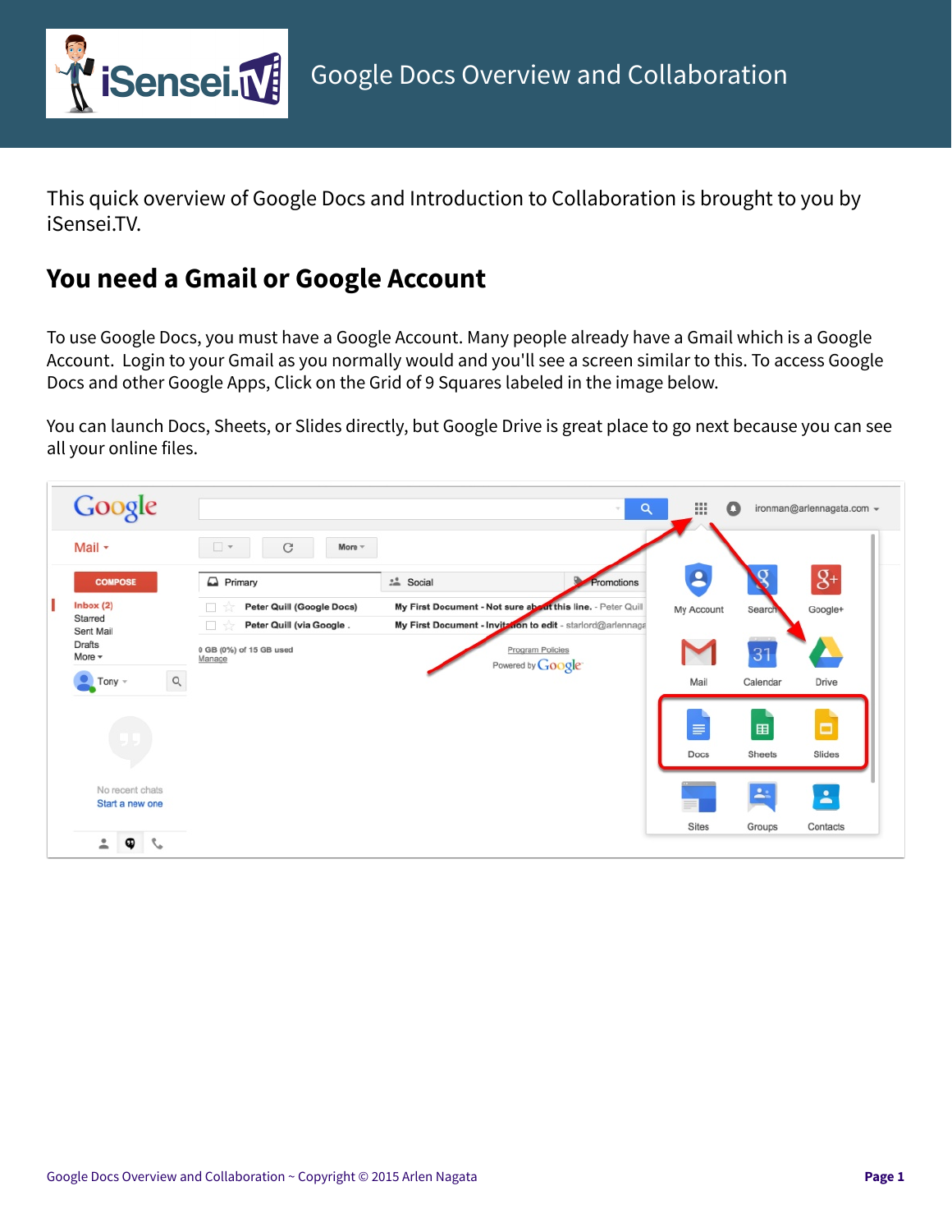

This quick overview of Google Docs and Introduction to Collaboration is brought to you by iSensei.TV.

## **You need a Gmail or Google Account**

To use Google Docs, you must have a Google Account. Many people already have a Gmail which is a Google Account. Login to your Gmail as you normally would and you'll see a screen similar to this. To access Google Docs and other Google Apps, Click on the Grid of 9 Squares labeled in the image below.

You can launch Docs, Sheets, or Slides directly, but Google Drive is great place to go next because you can see all your online files.

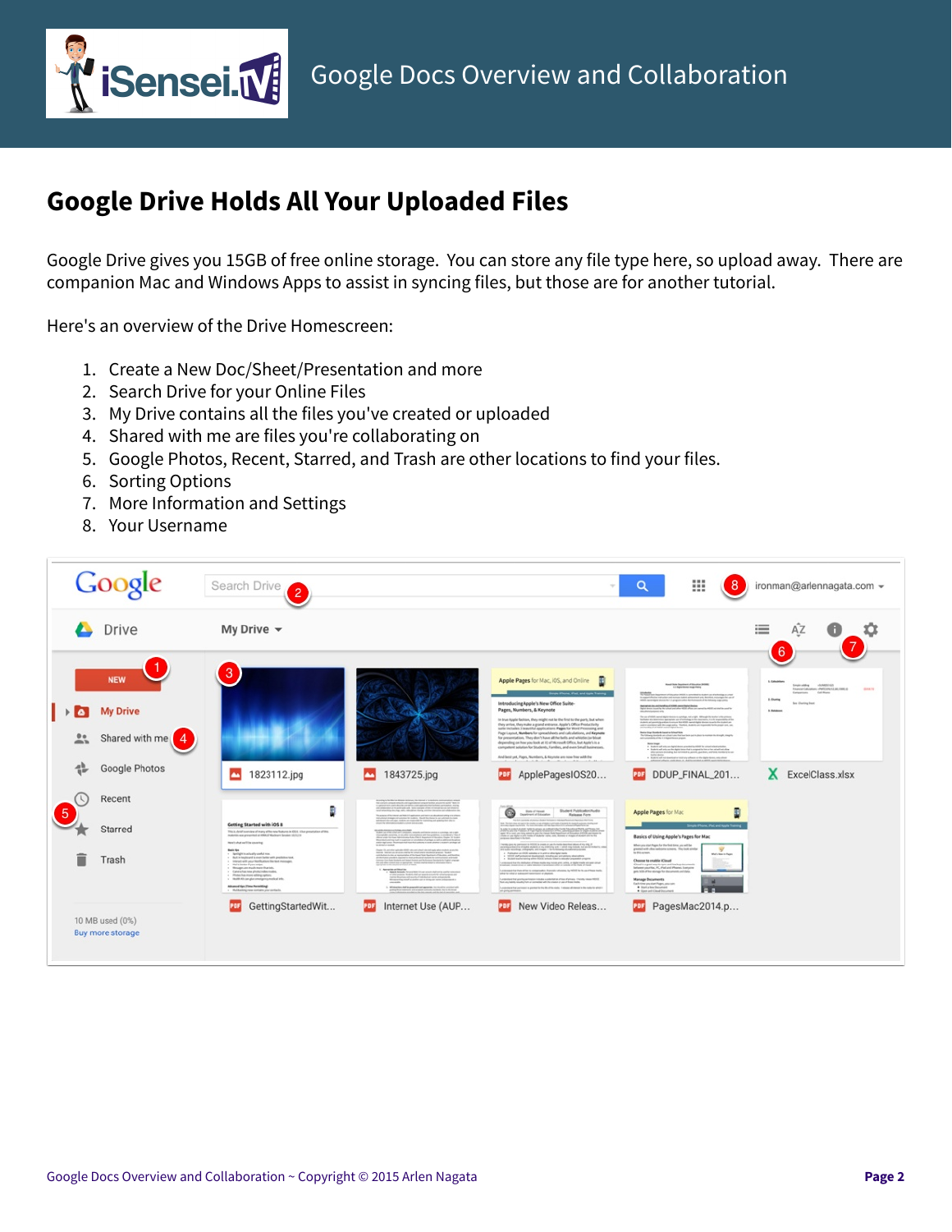

## **Google Drive Holds All Your Uploaded Files**

Google Drive gives you 15GB of free online storage. You can store any file type here, so upload away. There are companion Mac and Windows Apps to assist in syncing files, but those are for another tutorial.

Here's an overview of the Drive Homescreen:

- 1. Create a New Doc/Sheet/Presentation and more
- 2. Search Drive for your Online Files
- 3. My Drive contains all the files you've created or uploaded
- 4. Shared with me are files you're collaborating on
- 5. Google Photos, Recent, Starred, and Trash are other locations to find your files.
- 6. Sorting Options
- 7. More Information and Settings
- 8. Your Username

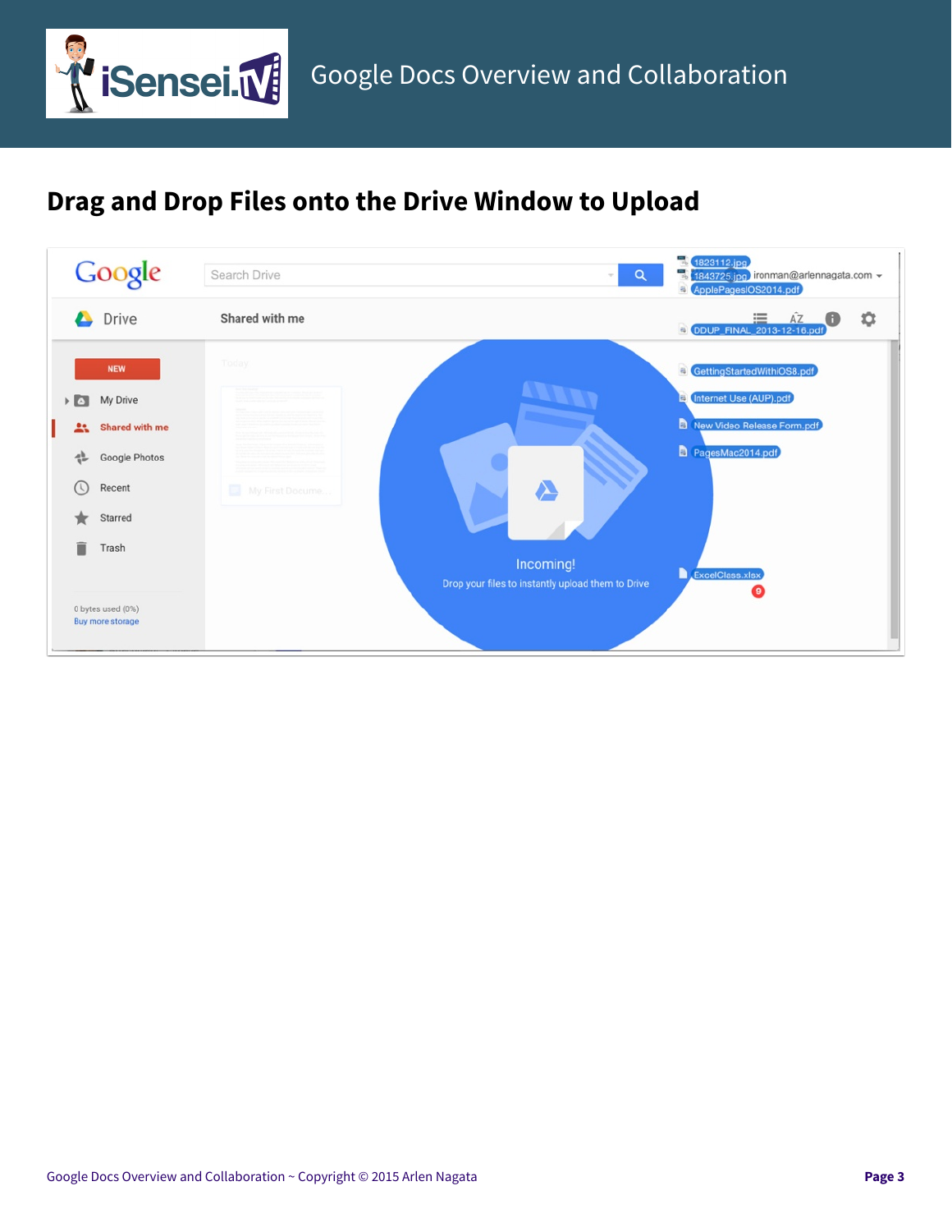

## **Drag and Drop Files onto the Drive Window to Upload**